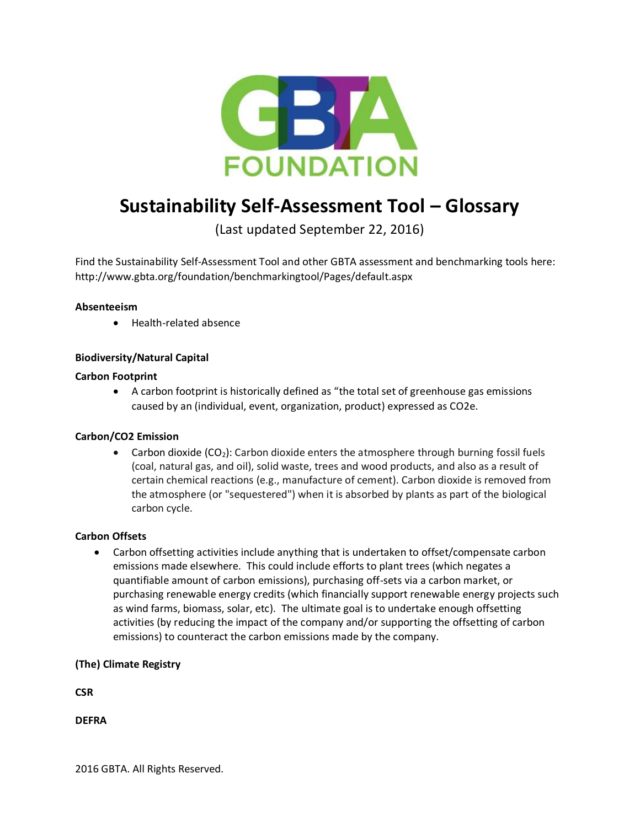

# **Sustainability Self-Assessment Tool – Glossary**

(Last updated September 22, 2016)

Find the Sustainability Self-Assessment Tool and other GBTA assessment and benchmarking tools here: http://www.gbta.org/foundation/benchmarkingtool/Pages/default.aspx

# **Absenteeism**

Health-related absence

# **Biodiversity/Natural Capital**

# **Carbon Footprint**

 A carbon footprint is historically defined as "the total set of greenhouse gas emissions caused by an (individual, event, organization, product) expressed as CO2e.

# **Carbon/CO2 Emission**

• Carbon dioxide  $(CO_2)$ : Carbon dioxide enters the atmosphere through burning fossil fuels (coal, natural gas, and oil), solid waste, trees and wood products, and also as a result of certain chemical reactions (e.g., manufacture of cement). Carbon dioxide is removed from the atmosphere (or "sequestered") when it is absorbed by plants as part of the biological carbon cycle.

# **Carbon Offsets**

 Carbon offsetting activities include anything that is undertaken to offset/compensate carbon emissions made elsewhere. This could include efforts to plant trees (which negates a quantifiable amount of carbon emissions), purchasing off-sets via a carbon market, or purchasing renewable energy credits (which financially support renewable energy projects such as wind farms, biomass, solar, etc). The ultimate goal is to undertake enough offsetting activities (by reducing the impact of the company and/or supporting the offsetting of carbon emissions) to counteract the carbon emissions made by the company.

# **(The) Climate Registry**

**CSR**

**DEFRA**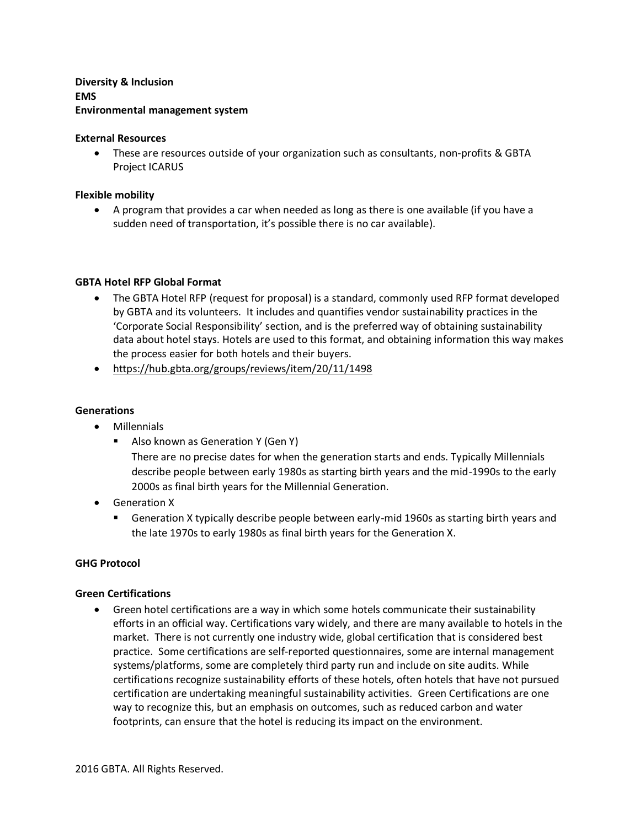# **Diversity & Inclusion EMS Environmental management system**

## **External Resources**

 These are resources outside of your organization such as consultants, non-profits & GBTA Project ICARUS

# **Flexible mobility**

 A program that provides a car when needed as long as there is one available (if you have a sudden need of transportation, it's possible there is no car available).

# **GBTA Hotel RFP Global Format**

- The GBTA Hotel RFP (request for proposal) is a standard, commonly used RFP format developed by GBTA and its volunteers. It includes and quantifies vendor sustainability practices in the 'Corporate Social Responsibility' section, and is the preferred way of obtaining sustainability data about hotel stays. Hotels are used to this format, and obtaining information this way makes the process easier for both hotels and their buyers.
- <https://hub.gbta.org/groups/reviews/item/20/11/1498>

## **Generations**

- Millennials
	- Also known as Generation Y (Gen Y) There are no precise dates for when the generation starts and ends. Typically Millennials describe people between early 1980s as starting birth years and the mid-1990s to the early 2000s as final birth years for the Millennial Generation.
- Generation X
	- Generation X typically describe people between early-mid 1960s as starting birth years and the late 1970s to early 1980s as final birth years for the Generation X.

# **GHG Protocol**

#### **Green Certifications**

 Green hotel certifications are a way in which some hotels communicate their sustainability efforts in an official way. Certifications vary widely, and there are many available to hotels in the market. There is not currently one industry wide, global certification that is considered best practice. Some certifications are self-reported questionnaires, some are internal management systems/platforms, some are completely third party run and include on site audits. While certifications recognize sustainability efforts of these hotels, often hotels that have not pursued certification are undertaking meaningful sustainability activities. Green Certifications are one way to recognize this, but an emphasis on outcomes, such as reduced carbon and water footprints, can ensure that the hotel is reducing its impact on the environment.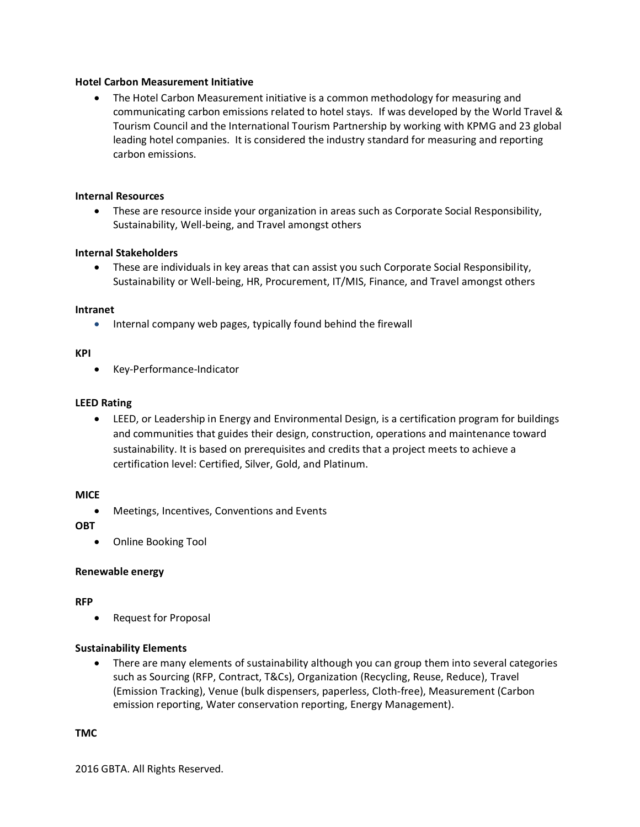## **Hotel Carbon Measurement Initiative**

 The Hotel Carbon Measurement initiative is a common methodology for measuring and communicating carbon emissions related to hotel stays. If was developed by the World Travel & Tourism Council and the International Tourism Partnership by working with KPMG and 23 global leading hotel companies. It is considered the industry standard for measuring and reporting carbon emissions.

#### **Internal Resources**

 These are resource inside your organization in areas such as Corporate Social Responsibility, Sustainability, Well-being, and Travel amongst others

## **Internal Stakeholders**

 These are individuals in key areas that can assist you such Corporate Social Responsibility, Sustainability or Well-being, HR, Procurement, IT/MIS, Finance, and Travel amongst others

#### **Intranet**

• Internal company web pages, typically found behind the firewall

#### **KPI**

Key-Performance-Indicator

#### **LEED Rating**

 LEED, or Leadership in Energy and Environmental Design, is a certification program for buildings and communities that guides their design, construction, operations and maintenance toward sustainability. It is based on prerequisites and credits that a project meets to achieve a certification level: Certified, Silver, Gold, and Platinum.

## **MICE**

Meetings, Incentives, Conventions and Events

**OBT**

Online Booking Tool

#### **Renewable energy**

#### **RFP**

Request for Proposal

#### **Sustainability Elements**

 There are many elements of sustainability although you can group them into several categories such as Sourcing (RFP, Contract, T&Cs), Organization (Recycling, Reuse, Reduce), Travel (Emission Tracking), Venue (bulk dispensers, paperless, Cloth-free), Measurement (Carbon emission reporting, Water conservation reporting, Energy Management).

#### **TMC**